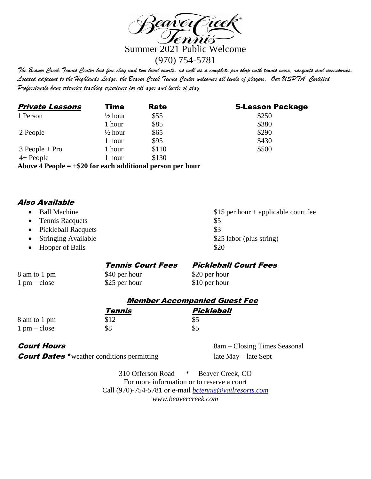

*The Beaver Creek Tennis Center has five clay and two hard courts, as well as a complete pro shop with tennis wear, racquets and accessories. Located adjacent to the Highlands Lodge, the Beaver Creek Tennis Center welcomes all levels of players. Our USPTA Certified Professionals have extensive teaching experience for all ages and levels of play*

| <b>Private Lessons</b> | <b>Time</b>        | <b>Rate</b>                                                                                                                                                                                                                                                                                                                                                     | <b>5-Lesson Package</b> |
|------------------------|--------------------|-----------------------------------------------------------------------------------------------------------------------------------------------------------------------------------------------------------------------------------------------------------------------------------------------------------------------------------------------------------------|-------------------------|
| 1 Person               | $\frac{1}{2}$ hour | \$55                                                                                                                                                                                                                                                                                                                                                            | \$250                   |
|                        | 1 hour             | \$85                                                                                                                                                                                                                                                                                                                                                            | \$380                   |
| 2 People               | $\frac{1}{2}$ hour | \$65                                                                                                                                                                                                                                                                                                                                                            | \$290                   |
|                        | 1 hour             | \$95                                                                                                                                                                                                                                                                                                                                                            | \$430                   |
| $3 People + Pro$       | 1 hour             | \$110                                                                                                                                                                                                                                                                                                                                                           | \$500                   |
| $4+$ People            | 1 hour             | \$130                                                                                                                                                                                                                                                                                                                                                           |                         |
|                        |                    | $\mathbf{A} \mathbf{I}$ , $\mathbf{A} \mathbf{D}$ , $\mathbf{I}$ , $\mathbf{A} \mathbf{A} \mathbf{A} \mathbf{P}$ , $\mathbf{I}$ , $\mathbf{I} \mathbf{P} \mathbf{A}^{\dagger}$ , $\mathbf{I}$ , $\mathbf{I}$ , $\mathbf{I}$ , $\mathbf{I}$ , $\mathbf{I}$ , $\mathbf{I}$ , $\mathbf{I}$ , $\mathbf{I}$ , $\mathbf{I}$ , $\mathbf{I}$ , $\mathbf{I}$ , $\mathbf$ |                         |

**Above 4 People = +\$20 for each additional person per hour**

## Also Available

- 
- Tennis Racquets \$5
- Pickleball Racquets  $$3$
- 
- Hopper of Balls \$20

• Ball Machine \$15 per hour + applicable court fee • Stringing Available \$25 labor (plus string)

## Tennis Court Fees Pickleball Court Fees

8 am to 1 pm \$40 per hour \$20 per hour 1 pm – close \$25 per hour \$10 per hour

## Member Accompanied Guest Fee

|                               | Tennis | Pickleball |
|-------------------------------|--------|------------|
| 8 am to 1 pm                  | \$12   | \$5        |
| $1 \text{ pm} - \text{close}$ | \$8    | \$5        |

**Court Dates** \* weather conditions permitting late May – late Sept

**Court Hours** 8am – Closing Times Seasonal

310 Offerson Road \* Beaver Creek, CO For more information or to reserve a court Call (970)-754-5781 or e-mail *[bctennis@vailresorts.com](mailto:bctennis@vailresorts.com) www.beavercreek.com*